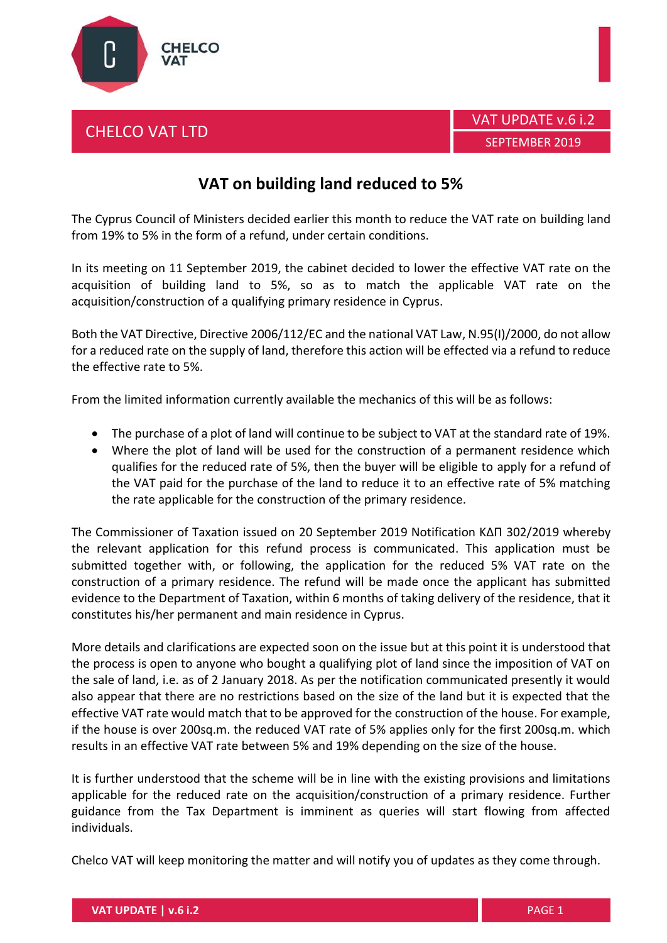





## **VAT on building land reduced to 5%**

The Cyprus Council of Ministers decided earlier this month to reduce the VAT rate on building land from 19% to 5% in the form of a refund, under certain conditions.

In its meeting on 11 September 2019, the cabinet decided to lower the effective VAT rate on the acquisition of building land to 5%, so as to match the applicable VAT rate on the acquisition/construction of a qualifying primary residence in Cyprus.

Both the VAT Directive, Directive 2006/112/EC and the national VAT Law, N.95(I)/2000, do not allow for a reduced rate on the supply of land, therefore this action will be effected via a refund to reduce the effective rate to 5%.

From the limited information currently available the mechanics of this will be as follows:

- The purchase of a plot of land will continue to be subject to VAT at the standard rate of 19%.
- Where the plot of land will be used for the construction of a permanent residence which qualifies for the reduced rate of 5%, then the buyer will be eligible to apply for a refund of the VAT paid for the purchase of the land to reduce it to an effective rate of 5% matching the rate applicable for the construction of the primary residence.

The Commissioner of Taxation issued on 20 September 2019 Notification ΚΔΠ 302/2019 whereby the relevant application for this refund process is communicated. This application must be submitted together with, or following, the application for the reduced 5% VAT rate on the construction of a primary residence. The refund will be made once the applicant has submitted evidence to the Department of Taxation, within 6 months of taking delivery of the residence, that it constitutes his/her permanent and main residence in Cyprus.

More details and clarifications are expected soon on the issue but at this point it is understood that the process is open to anyone who bought a qualifying plot of land since the imposition of VAT on the sale of land, i.e. as of 2 January 2018. As per the notification communicated presently it would also appear that there are no restrictions based on the size of the land but it is expected that the effective VAT rate would match that to be approved for the construction of the house. For example, if the house is over 200sq.m. the reduced VAT rate of 5% applies only for the first 200sq.m. which results in an effective VAT rate between 5% and 19% depending on the size of the house.

It is further understood that the scheme will be in line with the existing provisions and limitations applicable for the reduced rate on the acquisition/construction of a primary residence. Further guidance from the Tax Department is imminent as queries will start flowing from affected individuals.

Chelco VAT will keep monitoring the matter and will notify you of updates as they come through.